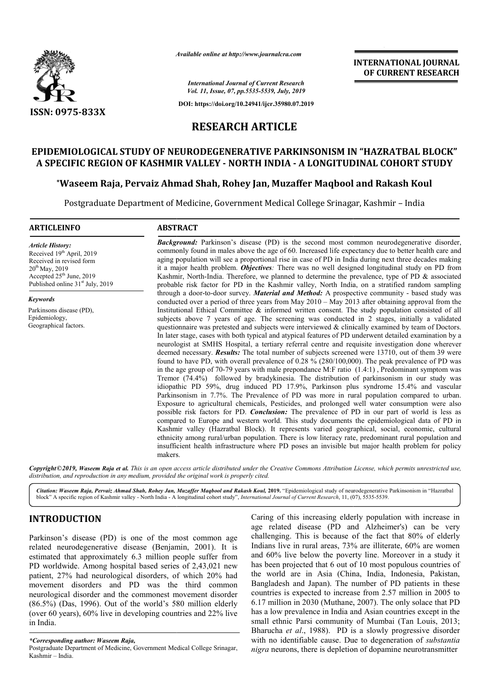

*Available online at http://www.journalcra.com*

**INTERNATIONAL JOURNAL OF CURRENT RESEARCH**

*International Journal of Current Research Vol. 11, Issue, 07, pp.5535-5539, July, 2019*

**DOI: https://doi.org/10.24941/ijcr.35980.07.2019**

# **RESEARCH ARTICLE**

# **EPIDEMIOLOGICAL STUDY OF NEURODEGENERATIVE PARKINSONISM IN " "HAZRATBAL BLOCK" A SPECIFIC REGION OF KASHMIR VALLEY - NORTH INDIA - A LONGITUDINAL COHORT STUDY**

**\*Waseem Raja, Pervaiz Ahmad Shah, Rohey Jan, Muzaffer Maqbool and and Rakash Koul**

Postgraduate Department of Medicine, Government Medical College Srinagar, Kashmir – India

## **ARTICLEINFO ABSTRACT**

*Article History:* Received 19<sup>th</sup> April, 2019 Received in revised form  $20^{th}$  May, 2019 Accepted  $25<sup>th</sup>$  June, 2019 Published online  $31<sup>st</sup>$  July, 2019

*Keywords*

Parkinsons disease (PD), Epidemiology, Geographical factors.

**Background:** Parkinson's disease (PD) is the second most common neurodegenerative disorder, commonly found in males above the age of 60. Increased life expectancy due to better health care and **Background:** Parkinson's disease (PD) is the second most common neurodegenerative disorder, commonly found in males above the age of 60. Increased life expectancy due to better health care and aging population will see a it a major health problem. *Objectives:* There was no well designed longitudinal study on PD from Kashmir, North-India. Therefore, we planned to determine the prevalence, type of PD & associated probable risk factor for PD in the Kashmir valley, North India, on a stratified random sampling probable risk factor for PD in the Kashmir valley, North India, on a stratified random sampling<br>through a door-to-door survey. *Material and Method*: A prospective community - based study was conducted over a period of three years from May 2010 – May 2013 after obtaining approval from the Institutional Ethical Committee  $\&$  informed written consent. The study population consisted of all conducted over a period of three years from May  $2010 -$  May  $2013$  after obtaining approval from the Institutional Ethical Committee & informed written consent. The study population consisted of all subjects above 7 years questionnaire was pretested and subjects were interviewed & clinically examined by team of Doctors. In later stage, cases with both typical and atypical features of PD underwent detailed examination by a neurologist at SMHS Hospital Hospital, a tertiary referral centre and requisite investigation done wherever deemed necessary. *Results:* The total number of subjects screened were 13710 found to have PD, with overall prevalence of 0.28 % (280/100,000). The peak prevalence of PD was in the age group of 70 70-79 years with male prepondance M:F ratio (1.4:1) , Predominant symptom was Tremor (74.4% idiopathic PD 59% Parkinsonism in 7.7%. The Prevalence of PD was more in rural Exposure to agricultural chemicals, Pesticides, and prolonged well water consumption were also possible risk factors for PD. *Conclusion:* The prevalence of PD in our part of world is less as compared to Europe and western world. This study documents the epidemiological data of PD in Kashmir valley (Hazratbal Block) Block). It represents varied geographical, social, economic, cultural ethnicity among rural/urban population. There is low literacy rate, predominant rural population and insufficient health infrastructure where PD poses an invisible but major health problem for policy makers. (74.4%) followed by bradykinesia. The distribution of parkinsonism in our study was 59%, drug induced PD 17.9%, Parkinson plus syndrome 15.4% and vascular In later stage, cases with both typical and atypical features of PD underwent detailed examination by a<br>neurologist at SMHS Hospital, a tertiary referral centre and requisite investigation done wherever<br>deemed necessary. distribution of parkinsonism in our study was<br>Parkinson plus syndrome 15.4% and vascular<br>as more in rural population compared to urban. possible risk factors for PD. *Conclusion*: The prevalence of PD in our part of world is less compared to Europe and western world. This study documents the epidemiological data of PD Kashmir valley (Hazratbal Block). It r **INTERNATIONAL JOURNAL OF CURRENT RESEARCH COFFORMED AND COFFORE THE AND AND COFFORE THE AND AND AND AND AND AND AND AND STRIME AND MANU STRIME AND MANU STRIME AND MANUSA COHORT STUDY and Rakash Koul stars that the constan** 

Copyright©2019, Waseem Raja et al. This is an open access article distributed under the Creative Commons Attribution License, which permits unrestricted use, *distribution, and reproduction in any medium, provided the original work is properly cited.*

Citation: Waseem Raja, Pervaiz Ahmad Shah, Rohey Jan, Muzaffer Maqbool and Rakash Koul, 2019. "Epidemiological study of neurodegenerative Parkinsonism in "Hazratbal block" A specific region of Kashmir valley - North India - A longitudinal cohort study", *International Journal of Current Research*, 11, (07), 5535-5539.

# **INTRODUCTION**

Parkinson's disease (PD) is one of the most common age related neurodegenerative disease (Benjamin, 2001). It is estimated that approximately 6.3 million people suffer from PD worldwide. Among hospital based series of 2,43,021 new patient, 27% had neurological disorders, of which 20% had movement disorders and PD was the third common neurological disorder and the commonest movement disorder (86.5%) (Das, 1996). Out of the world's 580 million elderly (over 60 years), 60% live in developing countries and 22% live in India. urological disorders, of which 20% had<br>s and PD was the third common<br>c and the commonest movement disorder<br>. Out of the world's 580 million elderly<br>live in developing countries and 22% live Caring of this increasing elderly population with increase in age related disease (PD and Alzheimer's) can be very challenging. This is because of the fact that 80% of elderly challenging. This is because of the fact that 80% of elderly Indians live in rural areas, 73% are illiterate, 60% are women and 60% live below the poverty line. Moreover in a study it has been projected that 6 out of 10 most populous countries of the world are in Asia (China, India, Indonesia, Pakistan, Bangladesh and Japan). The number of PD patients in these countries is expected to increase from 2.57 million in 2005 to 6.17 million in 2030 (Muthane, 2007 has a low prevalence in India and Asian countries except in the small ethnic Parsi community of Mumbai (Tan Louis, 2013; Bharucha *et al*., 1988). PD is a slowly progressive disorder with no identifiable cause. Due to degeneration of *substantia nigra* neurons, there is depletion of dopamine neurotransmitter 60% live below the poverty line. Moreover in a study it been projected that 6 out of 10 most populous countries of world are in Asia (China, India, Indonesia, Pakistan, gladesh and Japan). The number of PD patients in the

*<sup>\*</sup>Corresponding author: Waseem Raja,*

Postgraduate Department of Medicine, Government Medical College Srinagar, Kashmir – India.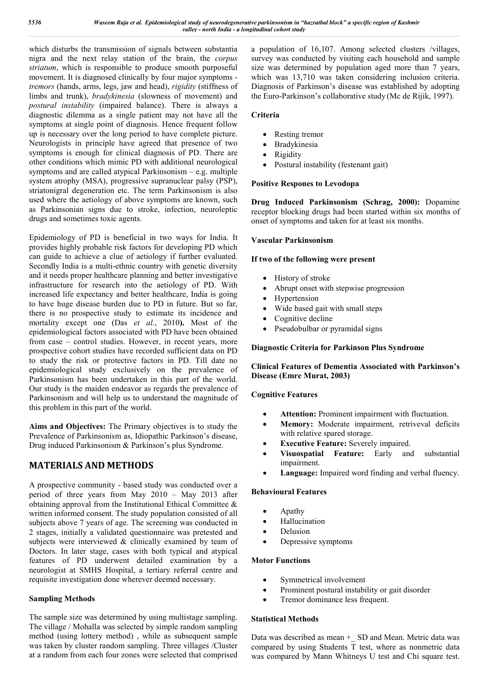which disturbs the transmission of signals between substantia nigra and the next relay station of the brain, the *corpus striatum*, which is responsible to produce smooth purposeful movement. It is diagnosed clinically by four major symptoms *tremors* (hands, arms, legs, jaw and head), *rigidity* (stiffness of limbs and trunk), *bradykinesia* (slowness of movement) and *postural instability* (impaired balance). There is always a diagnostic dilemma as a single patient may not have all the symptoms at single point of diagnosis. Hence frequent follow up is necessary over the long period to have complete picture. Neurologists in principle have agreed that presence of two symptoms is enough for clinical diagnosis of PD. There are other conditions which mimic PD with additional neurological symptoms and are called atypical Parkinsonism – e.g. multiple system atrophy (MSA), progressive supranuclear palsy (PSP), striatonigral degeneration etc. The term Parkinsonism is also used where the aetiology of above symptoms are known, such as Parkinsonian signs due to stroke, infection, neuroleptic drugs and sometimes toxic agents.

Epidemiology of PD is beneficial in two ways for India. It provides highly probable risk factors for developing PD which can guide to achieve a clue of aetiology if further evaluated. Secondly India is a multi-ethnic country with genetic diversity and it needs proper healthcare planning and better investigative infrastructure for research into the aetiology of PD. With increased life expectancy and better healthcare, India is going to have huge disease burden due to PD in future. But so far, there is no prospective study to estimate its incidence and mortality except one (Das *et al*., 2010**).** Most of the epidemiological factors associated with PD have been obtained from case – control studies. However, in recent years, more prospective cohort studies have recorded sufficient data on PD to study the risk or protective factors in PD. Till date no epidemiological study exclusively on the prevalence of Parkinsonism has been undertaken in this part of the world. Our study is the maiden endeavor as regards the prevalence of Parkinsonism and will help us to understand the magnitude of this problem in this part of the world.

**Aims and Objectives:** The Primary objectives is to study the Prevalence of Parkinsonism as, Idiopathic Parkinson's disease, Drug induced Parkinsonism & Parkinson's plus Syndrome.

# **MATERIALS AND METHODS**

A prospective community - based study was conducted over a period of three years from May 2010 – May 2013 after obtaining approval from the Institutional Ethical Committee & written informed consent. The study population consisted of all subjects above 7 years of age. The screening was conducted in 2 stages, initially a validated questionnaire was pretested and subjects were interviewed & clinically examined by team of Doctors. In later stage, cases with both typical and atypical features of PD underwent detailed examination by a neurologist at SMHS Hospital, a tertiary referral centre and requisite investigation done wherever deemed necessary.

# **Sampling Methods**

The sample size was determined by using multistage sampling. The village / Mohalla was selected by simple random sampling method (using lottery method) , while as subsequent sample was taken by cluster random sampling. Three villages /Cluster at a random from each four zones were selected that comprised a population of 16,107. Among selected clusters /villages, survey was conducted by visiting each household and sample size was determined by population aged more than 7 years, which was 13,710 was taken considering inclusion criteria. Diagnosis of Parkinson's disease was established by adopting the Euro-Parkinson's collaborative study (Mc de Rijik, 1997).

## **Criteria**

- Resting tremor
- Bradykinesia
- Rigidity
- Postural instability (festenant gait)

## **Positive Respones to Levodopa**

**Drug Induced Parkinsonism (Schrag, 2000):** Dopamine receptor blocking drugs had been started within six months of onset of symptoms and taken for at least six months.

#### **Vascular Parkinsonism**

#### **If two of the following were present**

- History of stroke
- Abrupt onset with stepwise progression
- Hypertension
- Wide based gait with small steps
- Cognitive decline
- Pseudobulbar or pyramidal signs

## **Diagnostic Criteria for Parkinson Plus Syndrome**

## **Clinical Features of Dementia Associated with Parkinson's Disease (Emre Murat, 2003)**

## **Cognitive Features**

- **Attention:** Prominent impairment with fluctuation.
- **Memory:** Moderate impairment, retriveval deficits with relative spared storage.
- **Executive Feature:** Severely impaired.
- **Visuospatial Feature:** Early and substantial impairment.
- **Language:** Impaired word finding and verbal fluency.

## **Behavioural Features**

- Apathy
- Hallucination
- Delusion
- Depressive symptoms

## **Motor Functions**

- Symmetrical involvement
- Prominent postural instability or gait disorder
- Tremor dominance less frequent.

## **Statistical Methods**

Data was described as mean + SD and Mean. Metric data was compared by using Students T test, where as nonmetric data was compared by Mann Whitneys U test and Chi square test.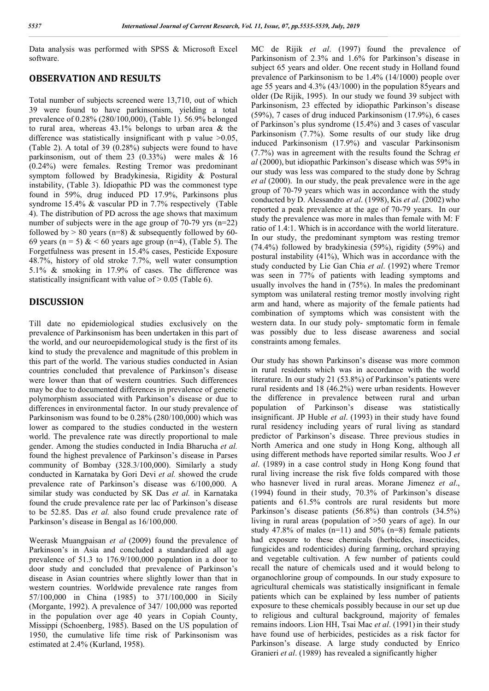Data analysis was performed with SPSS & Microsoft Excel software.

# **OBSERVATION AND RESULTS**

Total number of subjects screened were 13,710, out of which 39 were found to have parkinsonism, yielding a total prevalence of 0.28% (280/100,000), (Table 1). 56.9% belonged to rural area, whereas 43.1% belongs to urban area & the difference was statistically insignificant with p value  $>0.05$ , (Table 2). A total of 39 (0.28%) subjects were found to have parkinsonism, out of them 23 (0.33%) were males & 16 (0.24%) were females. Resting Tremor was predominant symptom followed by Bradykinesia, Rigidity & Postural instability, (Table 3). Idiopathic PD was the commonest type found in 59%, drug induced PD 17.9%, Parkinsons plus syndrome 15.4% & vascular PD in 7.7% respectively (Table 4). The distribution of PD across the age shows that maximum number of subjects were in the age group of 70-79 yrs (n=22) followed by  $> 80$  years (n=8) & subsequently followed by 60-69 years (n = 5) & < 60 years age group (n=4), (Table 5). The Forgetfulness was present in 15.4% cases, Pesticide Exposure 48.7%, history of old stroke 7.7%, well water consumption 5.1% & smoking in 17.9% of cases. The difference was statistically insignificant with value of  $> 0.05$  (Table 6).

# **DISCUSSION**

Till date no epidemiological studies exclusively on the prevalence of Parkinsonism has been undertaken in this part of the world, and our neuroepidemological study is the first of its kind to study the prevalence and magnitude of this problem in this part of the world. The various studies conducted in Asian countries concluded that prevalence of Parkinson's disease were lower than that of western countries. Such differences may be due to documented differences in prevalence of genetic polymorphism associated with Parkinson's disease or due to differences in environmental factor. In our study prevalence of Parkinsonism was found to be 0.28% (280/100,000) which was lower as compared to the studies conducted in the western world. The prevalence rate was directly proportional to male gender. Among the studies conducted in India Bharucha *et al.* found the highest prevalence of Parkinson's disease in Parses community of Bombay (328.3/100,000). Similarly a study conducted in Karnataka by Gori Devi *et al.* showed the crude prevalence rate of Parkinson's disease was 6/100,000. A similar study was conducted by SK Das *et al.* in Karnataka found the crude prevalence rate per lac of Parkinson's disease to be 52.85. Das *et al.* also found crude prevalence rate of Parkinson's disease in Bengal as 16/100,000.

Weerask Muangpaisan *et al* (2009) found the prevalence of Parkinson's in Asia and concluded a standardized all age prevalence of 51.3 to 176.9/100,000 population in a door to door study and concluded that prevalence of Parkinson's disease in Asian countries where slightly lower than that in western countries. Worldwide prevalence rate ranges from 57/100,000 in China (1985) to 371/100,000 in Sicily (Morgante, 1992). A prevalence of 347/ 100,000 was reported in the population over age 40 years in Copiah County, Missippi (Schoenberg, 1985). Based on the US population of 1950, the cumulative life time risk of Parkinsonism was estimated at 2.4% (Kurland, 1958).

MC de Rijik *et al*. (1997) found the prevalence of Parkinsonism of 2.3% and 1.6% for Parkinson's disease in subject 65 years and older. One recent study in Holland found prevalence of Parkinsonism to be 1.4% (14/1000) people over age 55 years and 4.3% (43/1000) in the population 85years and older (De Rijik, 1995). In our study we found 39 subject with Parkinsonism, 23 effected by idiopathic Parkinson's disease (59%), 7 cases of drug induced Parkinsonism (17.9%), 6 cases of Parkinson's plus syndrome (15.4%) and 3 cases of vascular Parkinsonism (7.7%). Some results of our study like drug induced Parkinsonism (17.9%) and vascular Parkinsonism (7.7%) was in agreement with the results found the Schrag *et al* (2000), but idiopathic Parkinson's disease which was 59% in our study was less was compared to the study done by Schrag *et al* (2000). In our study, the peak prevalence were in the age group of 70-79 years which was in accordance with the study conducted by D. Alessandro *et al*. (1998), Kis *et al*. (2002) who reported a peak prevalence at the age of 70-79 years. In our study the prevalence was more in males than female with M: F ratio of 1.4:1. Which is in accordance with the world literature. In our study, the predominant symptom was resting tremor (74.4%) followed by bradykinesia (59%), rigidity (59%) and postural instability (41%), Which was in accordance with the study conducted by Lie Gan Chia *et al*. (1992) where Tremor was seen in 77% of patients with leading symptoms and usually involves the hand in (75%). In males the predominant symptom was unilateral resting tremor mostly involving right arm and hand, where as majority of the female patients had combination of symptoms which was consistent with the western data. In our study poly- smptomatic form in female was possibly due to less disease awareness and social constraints among females.

Our study has shown Parkinson's disease was more common in rural residents which was in accordance with the world literature. In our study 21 (53.8%) of Parkinson's patients were rural residents and 18 (46.2%) were urban residents. However the difference in prevalence between rural and urban population of Parkinson's disease was statistically insignificant. JP Huble *et al*. (1993) in their study have found rural residency including years of rural living as standard predictor of Parkinson's disease. Three previous studies in North America and one study in Hong Kong, although all using different methods have reported similar results. Woo J *et al*. (1989) in a case control study in Hong Kong found that rural living increase the risk five folds compared with those who hasnever lived in rural areas. Morane Jimenez *et al*., (1994) found in their study, 70.3% of Parkinson's disease patients and 61.5% controls are rural residents but more Parkinson's disease patients (56.8%) than controls (34.5%) living in rural areas (population of >50 years of age). In our study 47.8% of males  $(n=11)$  and 50%  $(n=8)$  female patients had exposure to these chemicals (herbicdes, insecticides, fungicides and rodenticides) during farming, orchard spraying and vegetable cultivation. A few number of patients could recall the nature of chemicals used and it would belong to organochlorine group of compounds. In our study exposure to agricultural chemicals was statistically insignificant in female patients which can be explained by less number of patients exposure to these chemicals possibly because in our set up due to religious and cultural background, majority of females remains indoors. Lion HH, Tsai Mac *et al.* (1991) in their study have found use of herbicides, pesticides as a risk factor for Parkinson's disease. A large study conducted by Enrico Granieri *et al*. (1989) has revealed a significantly higher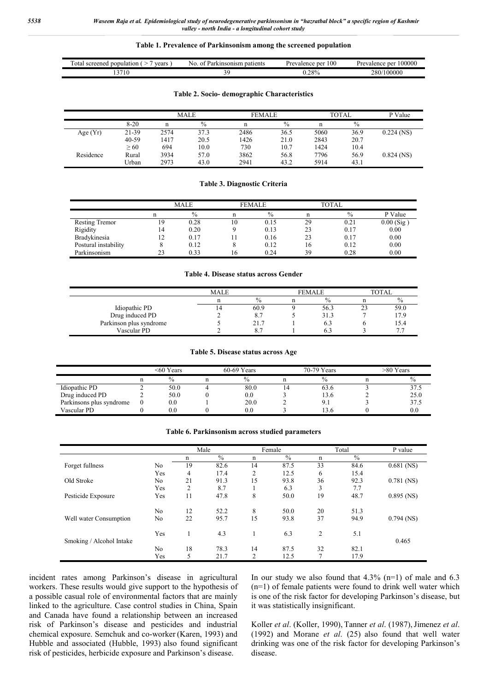#### **Table 1. Prevalence of Parkinsonism among the screened population**

| vears<br>ota<br>population<br>screened | patients<br>nsonism<br>ING.<br>DТ<br>а | 100<br>Prevalence<br>. ner | 100000<br>$n \alpha r$<br>Prevalence |
|----------------------------------------|----------------------------------------|----------------------------|--------------------------------------|
| ΊU                                     |                                        | 28%                        | 100000<br>280/                       |

#### **Table 2. Socio- demographic Characteristics**

|            |           | <b>MALE</b> |      |      | <b>FEMALE</b> |      | <b>TOTAL</b> | P Value      |
|------------|-----------|-------------|------|------|---------------|------|--------------|--------------|
|            | $8-20$    | n           | $\%$ | n    | $\frac{0}{0}$ |      | $\%$         |              |
| Age $(Yr)$ | 21-39     | 2574        | 37.3 | 2486 | 36.5          | 5060 | 36.9         | $0.224$ (NS) |
|            | $40 - 59$ | 1417        | 20.5 | 1426 | 21.0          | 2843 | 20.7         |              |
|            | > 60      | 694         | 10.0 | 730  | 10.7          | 1424 | 10.4         |              |
| Residence  | Rural     | 3934        | 57.0 | 3862 | 56.8          | 7796 | 56.9         | $0.824$ (NS) |
|            | Urban     | 2973        | 43.0 | 2941 | 43.2          | 5914 | 43.1         |              |

#### **Table 3. Diagnostic Criteria**

|                       |    | MALE |    | <b>FEMALE</b> |    | TOTAL         |              |
|-----------------------|----|------|----|---------------|----|---------------|--------------|
|                       |    | $\%$ |    | $\%$          |    | $\frac{0}{0}$ | P Value      |
| <b>Resting Tremor</b> | 19 | 0.28 | 10 | 0.15          | 29 | 0.21          | $0.00$ (Sig) |
| Rigidity              | 14 | 0.20 |    | 0.13          | 23 | 0.17          | 0.00         |
| Bradykinesia          | 12 | 0.17 |    | 0.16          | 23 | 0.17          | 0.00         |
| Postural instability  |    | 0.12 |    | 0.12          | 16 | 0.12          | 0.00         |
| Parkinsonism          | 23 | 0.33 | 16 | 0.24          | 39 | 0.28          | 0.00         |

#### **Table 4. Disease status across Gender**

|                         | MALE |               | <b>FEMALE</b> | TOTAL |      |
|-------------------------|------|---------------|---------------|-------|------|
|                         |      | $\frac{0}{0}$ | $\%$          |       | $\%$ |
| Idiopathic PD           | ۰4   | 60.9          | 56.3          |       | 59.0 |
| Drug induced PD         |      | 8.7           | 31.3          |       | 17.9 |
| Parkinson plus syndrome |      | 21.7          | 0.3           |       | 5.4  |
| Vascular PD             |      |               |               |       | ٠.,  |

#### **Table 5. Disease status across Age**

|                          | <60 Years     | $60-69$ Years |  | 70-79 Years   | >80 Years |      |
|--------------------------|---------------|---------------|--|---------------|-----------|------|
|                          | $\frac{0}{0}$ | $\frac{0}{0}$ |  | $\frac{0}{0}$ |           |      |
| Idiopathic PD            | 50.0          | 80.0          |  | 63.6          |           | 37.5 |
| Drug induced PD          | 50.0          | 0.0           |  | 13.6          |           | 25.0 |
| Parkinsons plus syndrome | $_{\rm 0.0}$  | 20.0          |  | 9.1           |           | 37.5 |
| Vascular PD              | $\rm 0.0$     | 0.0           |  | 13.6          |           | 0.0  |

#### **Table 6. Parkinsonism across studied parameters**

|                          |     | Male |      |                | Female        |               | Total         | P value      |  |
|--------------------------|-----|------|------|----------------|---------------|---------------|---------------|--------------|--|
|                          |     | n    | $\%$ | n              | $\frac{0}{0}$ | n             | $\frac{0}{0}$ |              |  |
| Forget fullness          | No  | 19   | 82.6 | 14             | 87.5          | 33            | 84.6          | $0.681$ (NS) |  |
|                          | Yes | 4    | 17.4 | $\overline{c}$ | 12.5          | 6             | 15.4          |              |  |
| Old Stroke               | No  | 21   | 91.3 | 15             | 93.8          | 36            | 92.3          | $0.781$ (NS) |  |
|                          | Yes | 2    | 8.7  |                | 6.3           | 3             | 7.7           |              |  |
| Pesticide Exposure       | Yes | 11   | 47.8 | 8              | 50.0          | 19            | 48.7          | $0.895$ (NS) |  |
|                          | No  | 12   | 52.2 | 8              | 50.0          | 20            | 51.3          |              |  |
| Well water Consumption   | No  | 22   | 95.7 | 15             | 93.8          | 37            | 94.9          | $0.794$ (NS) |  |
|                          | Yes |      | 4.3  |                | 6.3           | 2             | 5.1           |              |  |
| Smoking / Alcohol Intake |     |      |      |                |               |               |               | 0.465        |  |
|                          | No. | 18   | 78.3 | 14             | 87.5          | 32            | 82.1          |              |  |
|                          | Yes | 5    | 21.7 | $\overline{2}$ | 12.5          | $\mathcal{I}$ | 17.9          |              |  |

incident rates among Parkinson's disease in agricultural workers. These results would give support to the hypothesis of a possible casual role of environmental factors that are mainly linked to the agriculture. Case control studies in China, Spain and Canada have found a relationship between an increased risk of Parkinson's disease and pesticides and industrial chemical exposure. Semchuk and co-worker (Karen, 1993) and Hubble and associated (Hubble, 1993) also found significant risk of pesticides, herbicide exposure and Parkinson's disease.

In our study we also found that  $4.3\%$  (n=1) of male and 6.3 (n=1) of female patients were found to drink well water which is one of the risk factor for developing Parkinson's disease, but it was statistically insignificant.

Koller *et al*. (Koller, 1990), Tanner *et al*. (1987),Jimenez *et al*. (1992) and Morane *et al*. (25) also found that well water drinking was one of the risk factor for developing Parkinson's disease.